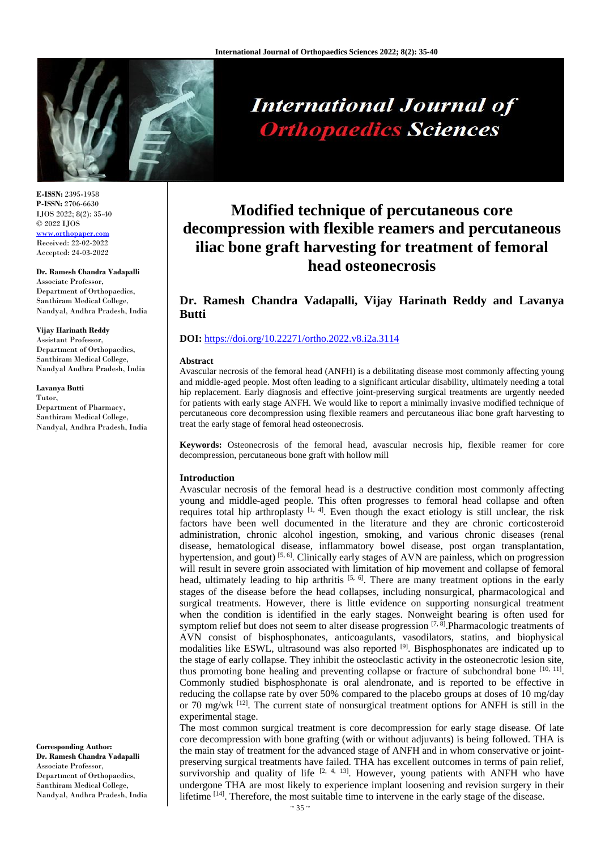

**E-ISSN:** 2395-1958 **P-ISSN:** 2706-6630 IJOS 2022; 8(2): 35-40 © 2022 IJOS [www.orthopaper.com](http://www.orthopaper.com/) Received: 22-02-2022 Accepted: 24-03-2022

#### **Dr. Ramesh Chandra Vadapalli**

Associate Professor, Department of Orthopaedics, Santhiram Medical College, Nandyal, Andhra Pradesh, India

#### **Vijay Harinath Reddy**

Assistant Professor, Department of Orthopaedics, Santhiram Medical College, Nandyal Andhra Pradesh, India

**Lavanya Butti** Tutor, Department of Pharmacy, Santhiram Medical College, Nandyal, Andhra Pradesh, India

**Corresponding Author: Dr. Ramesh Chandra Vadapalli** Associate Professor, Department of Orthopaedics, Santhiram Medical College, Nandyal, Andhra Pradesh, India

# **International Journal of Orthopaedics Sciences**

# **Modified technique of percutaneous core decompression with flexible reamers and percutaneous iliac bone graft harvesting for treatment of femoral head osteonecrosis**

# **Dr. Ramesh Chandra Vadapalli, Vijay Harinath Reddy and Lavanya Butti**

#### **DOI:** <https://doi.org/10.22271/ortho.2022.v8.i2a.3114>

#### **Abstract**

Avascular necrosis of the femoral head (ANFH) is a debilitating disease most commonly affecting young and middle-aged people. Most often leading to a significant articular disability, ultimately needing a total hip replacement. Early diagnosis and effective joint-preserving surgical treatments are urgently needed for patients with early stage ANFH. We would like to report a minimally invasive modified technique of percutaneous core decompression using flexible reamers and percutaneous iliac bone graft harvesting to treat the early stage of femoral head osteonecrosis.

**Keywords:** Osteonecrosis of the femoral head, avascular necrosis hip, flexible reamer for core decompression, percutaneous bone graft with hollow mill

#### **Introduction**

Avascular necrosis of the femoral head is a destructive condition most commonly affecting young and middle-aged people. This often progresses to femoral head collapse and often requires total hip arthroplasty  $[1, 4]$ . Even though the exact etiology is still unclear, the risk factors have been well documented in the literature and they are chronic corticosteroid administration, chronic alcohol ingestion, smoking, and various chronic diseases (renal disease, hematological disease, inflammatory bowel disease, post organ transplantation, hypertension, and gout) [5, 6]. Clinically early stages of AVN are painless, which on progression will result in severe groin associated with limitation of hip movement and collapse of femoral head, ultimately leading to hip arthritis  $[5, 6]$ . There are many treatment options in the early stages of the disease before the head collapses, including nonsurgical, pharmacological and surgical treatments. However, there is little evidence on supporting nonsurgical treatment when the condition is identified in the early stages. Nonweight bearing is often used for symptom relief but does not seem to alter disease progression  $[7, 8]$ . Pharmacologic treatments of AVN consist of bisphosphonates, anticoagulants, vasodilators, statins, and biophysical modalities like ESWL, ultrasound was also reported [9]. Bisphosphonates are indicated up to the stage of early collapse. They inhibit the osteoclastic activity in the osteonecrotic lesion site, thus promoting bone healing and preventing collapse or fracture of subchondral bone  $[10, 11]$ . Commonly studied bisphosphonate is oral alendronate, and is reported to be effective in reducing the collapse rate by over 50% compared to the placebo groups at doses of 10 mg/day or 70 mg/wk  $^{[12]}$ . The current state of nonsurgical treatment options for ANFH is still in the experimental stage.

The most common surgical treatment is core decompression for early stage disease. Of late core decompression with bone grafting (with or without adjuvants) is being followed. THA is the main stay of treatment for the advanced stage of ANFH and in whom conservative or jointpreserving surgical treatments have failed. THA has excellent outcomes in terms of pain relief, survivorship and quality of life  $[2, 4, 13]$ . However, young patients with ANFH who have undergone THA are most likely to experience implant loosening and revision surgery in their lifetime  $[14]$ . Therefore, the most suitable time to intervene in the early stage of the disease.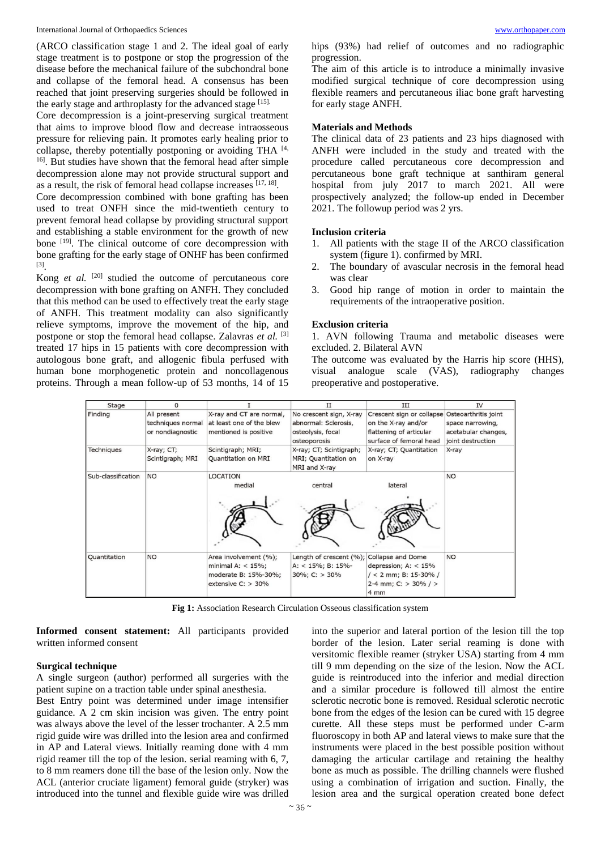(ARCO classification stage 1 and 2. The ideal goal of early stage treatment is to postpone or stop the progression of the disease before the mechanical failure of the subchondral bone and collapse of the femoral head. A consensus has been reached that joint preserving surgeries should be followed in the early stage and arthroplasty for the advanced stage [15].

Core decompression is a joint-preserving surgical treatment that aims to improve blood flow and decrease intraosseous pressure for relieving pain. It promotes early healing prior to collapse, thereby potentially postponing or avoiding THA [4, <sup>16]</sup>. But studies have shown that the femoral head after simple decompression alone may not provide structural support and as a result, the risk of femoral head collapse increases [17, 18].

Core decompression combined with bone grafting has been used to treat ONFH since the mid-twentieth century to prevent femoral head collapse by providing structural support and establishing a stable environment for the growth of new bone [19]. The clinical outcome of core decompression with bone grafting for the early stage of ONHF has been confirmed [3] .

Kong *et al.* [20] studied the outcome of percutaneous core decompression with bone grafting on ANFH. They concluded that this method can be used to effectively treat the early stage of ANFH. This treatment modality can also significantly relieve symptoms, improve the movement of the hip, and postpone or stop the femoral head collapse. Zalavras *et al.* [3] treated 17 hips in 15 patients with core decompression with autologous bone graft, and allogenic fibula perfused with human bone morphogenetic protein and noncollagenous proteins. Through a mean follow-up of 53 months, 14 of 15

hips (93%) had relief of outcomes and no radiographic progression.

The aim of this article is to introduce a minimally invasive modified surgical technique of core decompression using flexible reamers and percutaneous iliac bone graft harvesting for early stage ANFH.

#### **Materials and Methods**

The clinical data of 23 patients and 23 hips diagnosed with ANFH were included in the study and treated with the procedure called percutaneous core decompression and percutaneous bone graft technique at santhiram general hospital from july 2017 to march 2021. All were prospectively analyzed; the follow-up ended in December 2021. The followup period was 2 yrs.

#### **Inclusion criteria**

- 1. All patients with the stage II of the ARCO classification system (figure 1). confirmed by MRI.
- 2. The boundary of avascular necrosis in the femoral head was clear
- 3. Good hip range of motion in order to maintain the requirements of the intraoperative position.

#### **Exclusion criteria**

1. AVN following Trauma and metabolic diseases were excluded. 2. Bilateral AVN

The outcome was evaluated by the Harris hip score (HHS), visual analogue scale (VAS), radiography changes preoperative and postoperative.

| Stage              | 0                 |                                                                                              | $_{II}$                                                           | III                                                                                                         | <b>IV</b>           |
|--------------------|-------------------|----------------------------------------------------------------------------------------------|-------------------------------------------------------------------|-------------------------------------------------------------------------------------------------------------|---------------------|
| Finding            | All present       | X-ray and CT are normal,                                                                     | No crescent sign, X-ray                                           | Crescent sign or collapse Osteoarthritis joint                                                              |                     |
|                    | techniques normal | at least one of the blew                                                                     | abnormal: Sclerosis,                                              | on the X-ray and/or                                                                                         | space narrowing,    |
|                    | or nondiagnostic  | mentioned is positive                                                                        | osteolysis, focal                                                 | flattening of articular                                                                                     | acetabular changes, |
|                    |                   |                                                                                              | osteoporosis                                                      | surface of femoral head                                                                                     | joint destruction   |
| Techniques         | X-ray; CT;        | Scintigraph; MRI;                                                                            | X-ray; CT; Scintigraph;                                           | X-ray; CT; Quantitation                                                                                     | X-ray               |
|                    | Scintigraph; MRI  | Quantitation on MRI                                                                          | MRI; Quantitation on                                              | on X-ray                                                                                                    |                     |
|                    |                   |                                                                                              | MRI and X-ray                                                     |                                                                                                             |                     |
| Sub-classification | <b>NO</b>         | <b>LOCATION</b>                                                                              |                                                                   |                                                                                                             | <b>NO</b>           |
|                    |                   | medial                                                                                       | central                                                           | lateral                                                                                                     |                     |
|                    |                   |                                                                                              |                                                                   |                                                                                                             |                     |
| Quantitation       | <b>NO</b>         | Area involvement (%);<br>minimal A: $<$ 15%;<br>moderate B: 15%-30%;<br>extensive $C:$ > 30% | Length of crescent (%);<br>A: < 15%; B: 15%-<br>$30\%$ ; C: > 30% | Collapse and Dome<br>depression; $A: < 15\%$<br>$/ < 2$ mm; B: 15-30% /<br>2-4 mm; C: $>$ 30% / $>$<br>4 mm | <b>NO</b>           |

**Fig 1:** Association Research Circulation Osseous classification system

**Informed consent statement:** All participants provided written informed consent

#### **Surgical technique**

A single surgeon (author) performed all surgeries with the patient supine on a traction table under spinal anesthesia.

Best Entry point was determined under image intensifier guidance. A 2 cm skin incision was given. The entry point was always above the level of the lesser trochanter. A 2.5 mm rigid guide wire was drilled into the lesion area and confirmed in AP and Lateral views. Initially reaming done with 4 mm rigid reamer till the top of the lesion. serial reaming with 6, 7, to 8 mm reamers done till the base of the lesion only. Now the ACL (anterior cruciate ligament) femoral guide (stryker) was introduced into the tunnel and flexible guide wire was drilled

into the superior and lateral portion of the lesion till the top border of the lesion. Later serial reaming is done with versitomic flexible reamer (stryker USA) starting from 4 mm till 9 mm depending on the size of the lesion. Now the ACL guide is reintroduced into the inferior and medial direction and a similar procedure is followed till almost the entire sclerotic necrotic bone is removed. Residual sclerotic necrotic bone from the edges of the lesion can be cured with 15 degree curette. All these steps must be performed under C-arm fluoroscopy in both AP and lateral views to make sure that the instruments were placed in the best possible position without damaging the articular cartilage and retaining the healthy bone as much as possible. The drilling channels were flushed using a combination of irrigation and suction. Finally, the lesion area and the surgical operation created bone defect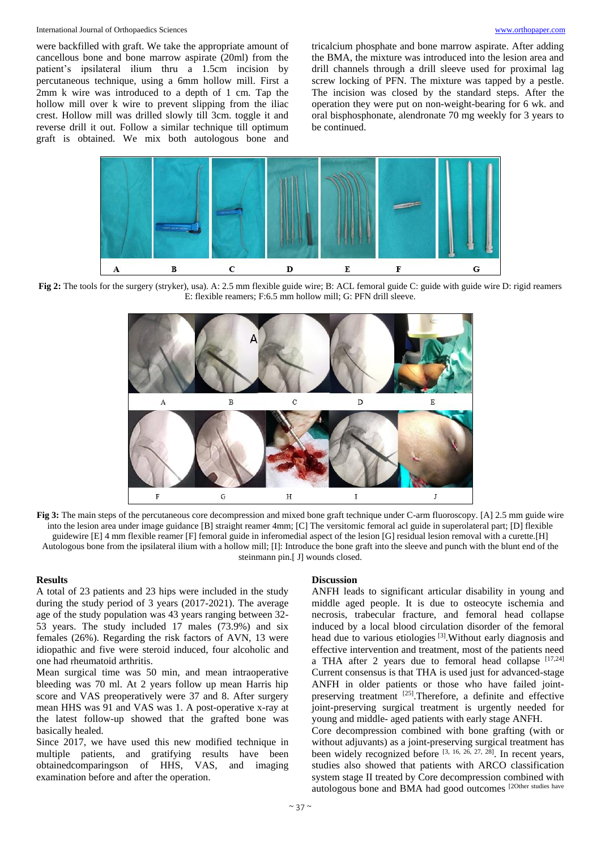#### International Journal of Orthopaedics Sciences [www.orthopaper.com](http://www.orthopaper.com/)

were backfilled with graft. We take the appropriate amount of cancellous bone and bone marrow aspirate (20ml) from the patient's ipsilateral ilium thru a 1.5cm incision by percutaneous technique, using a 6mm hollow mill. First a 2mm k wire was introduced to a depth of 1 cm. Tap the hollow mill over k wire to prevent slipping from the iliac crest. Hollow mill was drilled slowly till 3cm. toggle it and reverse drill it out. Follow a similar technique till optimum graft is obtained. We mix both autologous bone and

tricalcium phosphate and bone marrow aspirate. After adding the BMA, the mixture was introduced into the lesion area and drill channels through a drill sleeve used for proximal lag screw locking of PFN. The mixture was tapped by a pestle. The incision was closed by the standard steps. After the operation they were put on non-weight-bearing for 6 wk. and oral bisphosphonate, alendronate 70 mg weekly for 3 years to be continued.



**Fig 2:** The tools for the surgery (stryker), usa). A: 2.5 mm flexible guide wire; B: ACL femoral guide C: guide with guide wire D: rigid reamers E: flexible reamers; F:6.5 mm hollow mill; G: PFN drill sleeve.



**Fig 3:** The main steps of the percutaneous core decompression and mixed bone graft technique under C-arm fluoroscopy. [A] 2.5 mm guide wire into the lesion area under image guidance [B] straight reamer 4mm; [C] The versitomic femoral acl guide in superolateral part; [D] flexible guidewire [E] 4 mm flexible reamer [F] femoral guide in inferomedial aspect of the lesion [G] residual lesion removal with a curette.[H] Autologous bone from the ipsilateral ilium with a hollow mill; [I]: Introduce the bone graft into the sleeve and punch with the blunt end of the steinmann pin.[ J] wounds closed.

## **Results**

A total of 23 patients and 23 hips were included in the study during the study period of 3 years (2017-2021). The average age of the study population was 43 years ranging between 32- 53 years. The study included 17 males (73.9%) and six females (26%). Regarding the risk factors of AVN, 13 were idiopathic and five were steroid induced, four alcoholic and one had rheumatoid arthritis.

Mean surgical time was 50 min, and mean intraoperative bleeding was 70 ml. At 2 years follow up mean Harris hip score and VAS preoperatively were 37 and 8. After surgery mean HHS was 91 and VAS was 1. A post-operative x-ray at the latest follow-up showed that the grafted bone was basically healed.

Since 2017, we have used this new modified technique in multiple patients, and gratifying results have been obtainedcomparingson of HHS, VAS, and imaging examination before and after the operation.

## **Discussion**

ANFH leads to significant articular disability in young and middle aged people. It is due to osteocyte ischemia and necrosis, trabecular fracture, and femoral head collapse induced by a local blood circulation disorder of the femoral head due to various etiologies [3].Without early diagnosis and effective intervention and treatment, most of the patients need a THA after 2 years due to femoral head collapse [17,24] Current consensus is that THA is used just for advanced-stage ANFH in older patients or those who have failed jointpreserving treatment [25]. Therefore, a definite and effective joint-preserving surgical treatment is urgently needed for young and middle- aged patients with early stage ANFH.

Core decompression combined with bone grafting (with or without adjuvants) as a joint-preserving surgical treatment has been widely recognized before [3, 16, 26, 27, 28]. In recent years, studies also showed that patients with ARCO classification system stage II treated by Core decompression combined with autologous bone and BMA had good outcomes [2Other studies have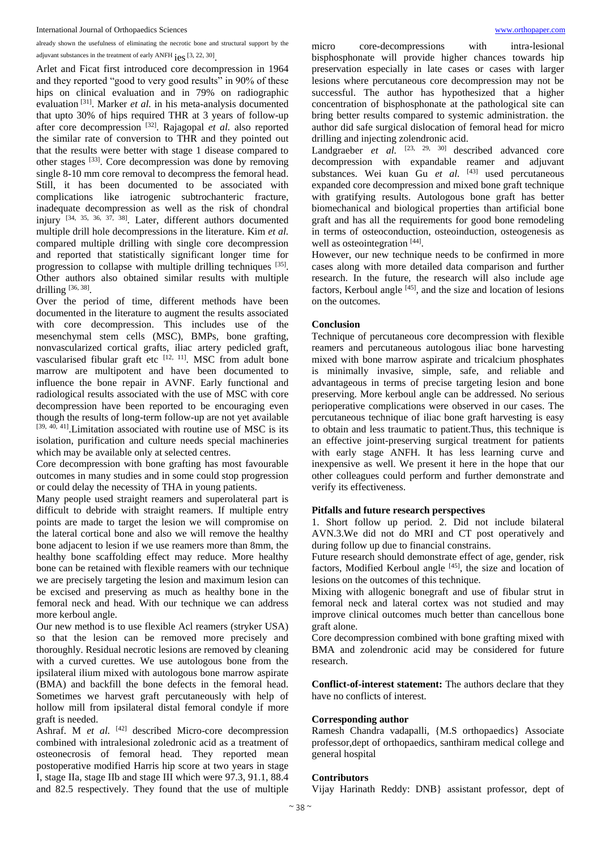already shown the usefulness of eliminating the necrotic bone and structural support by the adjuvant substances in the treatment of early ANFH  $\text{ies}$  [3, 22, 30].

Arlet and Ficat first introduced core decompression in 1964 and they reported "good to very good results" in 90% of these hips on clinical evaluation and in 79% on radiographic evaluation [31]. Marker *et al.* in his meta-analysis documented that upto 30% of hips required THR at 3 years of follow-up after core decompression [32]. Rajagopal *et al.* also reported the similar rate of conversion to THR and they pointed out that the results were better with stage 1 disease compared to other stages [33]. Core decompression was done by removing single 8-10 mm core removal to decompress the femoral head. Still, it has been documented to be associated with complications like iatrogenic subtrochanteric fracture, inadequate decompression as well as the risk of chondral injury  $[34, 35, 36, 37, 38]$ . Later, different authors documented multiple drill hole decompressions in the literature. Kim *et al.* compared multiple drilling with single core decompression and reported that statistically significant longer time for progression to collapse with multiple drilling techniques [35]. Other authors also obtained similar results with multiple drilling  $[36, 38]$ .

Over the period of time, different methods have been documented in the literature to augment the results associated with core decompression. This includes use of the mesenchymal stem cells (MSC), BMPs, bone grafting, nonvascularized cortical grafts, iliac artery pedicled graft, vascularised fibular graft etc  $[12, 11]$ . MSC from adult bone marrow are multipotent and have been documented to influence the bone repair in AVNF. Early functional and radiological results associated with the use of MSC with core decompression have been reported to be encouraging even though the results of long-term follow-up are not yet available  $[39, 40, 41]$ . Limitation associated with routine use of MSC is its isolation, purification and culture needs special machineries which may be available only at selected centres.

Core decompression with bone grafting has most favourable outcomes in many studies and in some could stop progression or could delay the necessity of THA in young patients.

Many people used straight reamers and superolateral part is difficult to debride with straight reamers. If multiple entry points are made to target the lesion we will compromise on the lateral cortical bone and also we will remove the healthy bone adjacent to lesion if we use reamers more than 8mm, the healthy bone scaffolding effect may reduce. More healthy bone can be retained with flexible reamers with our technique we are precisely targeting the lesion and maximum lesion can be excised and preserving as much as healthy bone in the femoral neck and head. With our technique we can address more kerboul angle.

Our new method is to use flexible Acl reamers (stryker USA) so that the lesion can be removed more precisely and thoroughly. Residual necrotic lesions are removed by cleaning with a curved curettes. We use autologous bone from the ipsilateral ilium mixed with autologous bone marrow aspirate (BMA) and backfill the bone defects in the femoral head. Sometimes we harvest graft percutaneously with help of hollow mill from ipsilateral distal femoral condyle if more graft is needed.

Ashraf. M *et al.* <sup>[42]</sup> described Micro-core decompression combined with intralesional zoledronic acid as a treatment of osteonecrosis of femoral head. They reported mean postoperative modified Harris hip score at two years in stage I, stage IIa, stage IIb and stage III which were 97.3, 91.1, 88.4 and 82.5 respectively. They found that the use of multiple

micro core-decompressions with intra-lesional bisphosphonate will provide higher chances towards hip preservation especially in late cases or cases with larger lesions where percutaneous core decompression may not be successful. The author has hypothesized that a higher concentration of bisphosphonate at the pathological site can bring better results compared to systemic administration. the author did safe surgical dislocation of femoral head for micro drilling and injecting zolendronic acid.

Landgraeber *et al.* <sup>[23, 29, 30]</sup> described advanced core decompression with expandable reamer and adjuvant substances. Wei kuan Gu *et al.* [43] used percutaneous expanded core decompression and mixed bone graft technique with gratifying results. Autologous bone graft has better biomechanical and biological properties than artificial bone graft and has all the requirements for good bone remodeling in terms of osteoconduction, osteoinduction, osteogenesis as well as osteointegration [44].

However, our new technique needs to be confirmed in more cases along with more detailed data comparison and further research. In the future, the research will also include age factors, Kerboul angle  $[45]$ , and the size and location of lesions on the outcomes.

#### **Conclusion**

Technique of percutaneous core decompression with flexible reamers and percutaneous autologous iliac bone harvesting mixed with bone marrow aspirate and tricalcium phosphates is minimally invasive, simple, safe, and reliable and advantageous in terms of precise targeting lesion and bone preserving. More kerboul angle can be addressed. No serious perioperative complications were observed in our cases. The percutaneous technique of iliac bone graft harvesting is easy to obtain and less traumatic to patient.Thus, this technique is an effective joint-preserving surgical treatment for patients with early stage ANFH. It has less learning curve and inexpensive as well. We present it here in the hope that our other colleagues could perform and further demonstrate and verify its effectiveness.

#### **Pitfalls and future research perspectives**

1. Short follow up period. 2. Did not include bilateral AVN.3.We did not do MRI and CT post operatively and during follow up due to financial constrains.

Future research should demonstrate effect of age, gender, risk factors, Modified Kerboul angle [45], the size and location of lesions on the outcomes of this technique.

Mixing with allogenic bonegraft and use of fibular strut in femoral neck and lateral cortex was not studied and may improve clinical outcomes much better than cancellous bone graft alone.

Core decompression combined with bone grafting mixed with BMA and zolendronic acid may be considered for future research.

**Conflict-of-interest statement:** The authors declare that they have no conflicts of interest.

#### **Corresponding author**

Ramesh Chandra vadapalli, {M.S orthopaedics} Associate professor,dept of orthopaedics, santhiram medical college and general hospital

#### **Contributors**

Vijay Harinath Reddy: DNB} assistant professor, dept of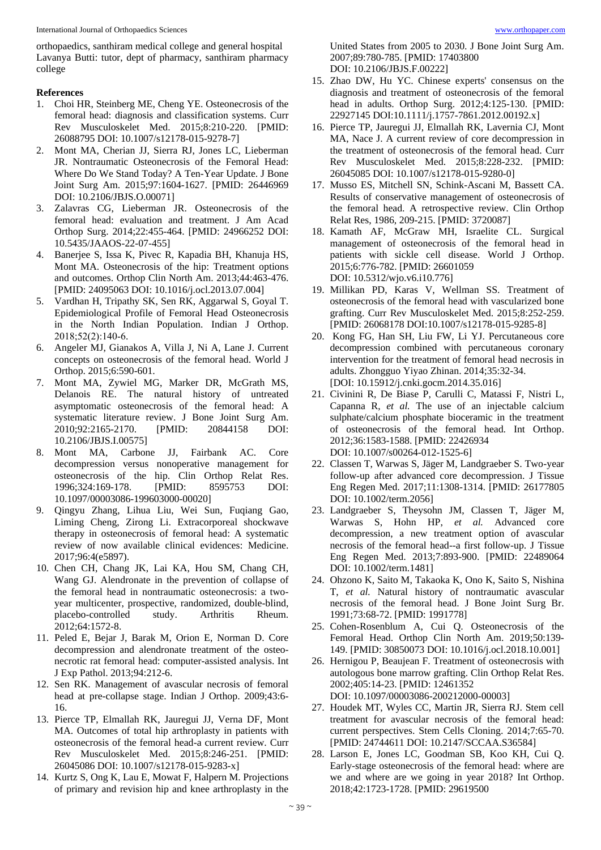orthopaedics, santhiram medical college and general hospital Lavanya Butti: tutor, dept of pharmacy, santhiram pharmacy college

#### **References**

- 1. Choi HR, Steinberg ME, Cheng YE. Osteonecrosis of the femoral head: diagnosis and classification systems. Curr Rev Musculoskelet Med. 2015;8:210-220. [PMID: 26088795 DOI: 10.1007/s12178-015-9278-7]
- 2. Mont MA, Cherian JJ, Sierra RJ, Jones LC, Lieberman JR. Nontraumatic Osteonecrosis of the Femoral Head: Where Do We Stand Today? A Ten-Year Update. J Bone Joint Surg Am. 2015;97:1604-1627. [PMID: 26446969 DOI: 10.2106/JBJS.O.00071]
- 3. Zalavras CG, Lieberman JR. Osteonecrosis of the femoral head: evaluation and treatment. J Am Acad Orthop Surg. 2014;22:455-464. [PMID: 24966252 DOI: 10.5435/JAAOS-22-07-455]
- 4. Banerjee S, Issa K, Pivec R, Kapadia BH, Khanuja HS, Mont MA. Osteonecrosis of the hip: Treatment options and outcomes. Orthop Clin North Am. 2013;44:463-476. [PMID: 24095063 DOI: 10.1016/j.ocl.2013.07.004]
- 5. Vardhan H, Tripathy SK, Sen RK, Aggarwal S, Goyal T. Epidemiological Profile of Femoral Head Osteonecrosis in the North Indian Population. Indian J Orthop. 2018;52(2):140‐6.
- 6. Angeler MJ, Gianakos A, Villa J, Ni A, Lane J. Current concepts on osteonecrosis of the femoral head. World J Orthop. 2015;6:590-601.
- 7. Mont MA, Zywiel MG, Marker DR, McGrath MS, Delanois RE. The natural history of untreated asymptomatic osteonecrosis of the femoral head: A systematic literature review. J Bone Joint Surg Am. 2010;92:2165-2170. [PMID: 20844158 DOI: 10.2106/JBJS.I.00575]
- 8. Mont MA, Carbone JJ, Fairbank AC. Core decompression versus nonoperative management for osteonecrosis of the hip. Clin Orthop Relat Res. 1996;324:169-178. [PMID: 8595753 DOI: 10.1097/00003086-199603000-00020]
- 9. Qingyu Zhang, Lihua Liu, Wei Sun, Fuqiang Gao, Liming Cheng, Zirong Li. Extracorporeal shockwave therapy in osteonecrosis of femoral head: A systematic review of now available clinical evidences: Medicine. 2017;96:4(e5897).
- 10. Chen CH, Chang JK, Lai KA, Hou SM, Chang CH, Wang GJ. Alendronate in the prevention of collapse of the femoral head in nontraumatic osteonecrosis: a twoyear multicenter, prospective, randomized, double-blind, placebo-controlled study. Arthritis Rheum. 2012;64:1572-8.
- 11. Peled E, Bejar J, Barak M, Orion E, Norman D. Core decompression and alendronate treatment of the osteonecrotic rat femoral head: computer-assisted analysis. Int J Exp Pathol. 2013;94:212-6.
- 12. Sen RK. Management of avascular necrosis of femoral head at pre-collapse stage. Indian J Orthop. 2009;43:6- 16.
- 13. Pierce TP, Elmallah RK, Jauregui JJ, Verna DF, Mont MA. Outcomes of total hip arthroplasty in patients with osteonecrosis of the femoral head-a current review. Curr Rev Musculoskelet Med. 2015;8:246-251. [PMID: 26045086 DOI: 10.1007/s12178-015-9283-x]
- 14. Kurtz S, Ong K, Lau E, Mowat F, Halpern M. Projections of primary and revision hip and knee arthroplasty in the

United States from 2005 to 2030. J Bone Joint Surg Am. 2007;89:780-785. [PMID: 17403800 DOI: 10.2106/JBJS.F.00222]

- 15. Zhao DW, Hu YC. Chinese experts' consensus on the diagnosis and treatment of osteonecrosis of the femoral head in adults. Orthop Surg. 2012;4:125-130. [PMID: 22927145 DOI:10.1111/j.1757-7861.2012.00192.x]
- 16. Pierce TP, Jauregui JJ, Elmallah RK, Lavernia CJ, Mont MA, Nace J. A current review of core decompression in the treatment of osteonecrosis of the femoral head. Curr Rev Musculoskelet Med. 2015;8:228-232. [PMID: 26045085 DOI: 10.1007/s12178-015-9280-0]
- 17. Musso ES, Mitchell SN, Schink-Ascani M, Bassett CA. Results of conservative management of osteonecrosis of the femoral head. A retrospective review. Clin Orthop Relat Res, 1986, 209-215. [PMID: 3720087]
- 18. Kamath AF, McGraw MH, Israelite CL. Surgical management of osteonecrosis of the femoral head in patients with sickle cell disease. World J Orthop. 2015;6:776-782. [PMID: 26601059 DOI: 10.5312/wjo.v6.i10.776]
- 19. Millikan PD, Karas V, Wellman SS. Treatment of osteonecrosis of the femoral head with vascularized bone grafting. Curr Rev Musculoskelet Med. 2015;8:252-259. [PMID: 26068178 DOI:10.1007/s12178-015-9285-8]
- 20. Kong FG, Han SH, Liu FW, Li YJ. Percutaneous core decompression combined with percutaneous coronary intervention for the treatment of femoral head necrosis in adults. Zhongguo Yiyao Zhinan. 2014;35:32-34. [DOI: 10.15912/j.cnki.gocm.2014.35.016]
- 21. Civinini R, De Biase P, Carulli C, Matassi F, Nistri L, Capanna R, *et al.* The use of an injectable calcium sulphate/calcium phosphate bioceramic in the treatment of osteonecrosis of the femoral head. Int Orthop. 2012;36:1583-1588. [PMID: 22426934 DOI: 10.1007/s00264-012-1525-6]
- 22. Classen T, Warwas S, Jäger M, Landgraeber S. Two-year follow-up after advanced core decompression. J Tissue Eng Regen Med. 2017;11:1308-1314. [PMID: 26177805 DOI: 10.1002/term.2056]
- 23. Landgraeber S, Theysohn JM, Classen T, Jäger M, Warwas S, Hohn HP, *et al.* Advanced core decompression, a new treatment option of avascular necrosis of the femoral head--a first follow-up. J Tissue Eng Regen Med. 2013;7:893-900. [PMID: 22489064 DOI: 10.1002/term.1481]
- 24. Ohzono K, Saito M, Takaoka K, Ono K, Saito S, Nishina T, *et al.* Natural history of nontraumatic avascular necrosis of the femoral head. J Bone Joint Surg Br. 1991;73:68-72. [PMID: 1991778]
- 25. Cohen-Rosenblum A, Cui Q. Osteonecrosis of the Femoral Head. Orthop Clin North Am. 2019;50:139- 149. [PMID: 30850073 DOI: 10.1016/j.ocl.2018.10.001]
- 26. Hernigou P, Beaujean F. Treatment of osteonecrosis with autologous bone marrow grafting. Clin Orthop Relat Res. 2002;405:14-23. [PMID: 12461352 DOI: 10.1097/00003086-200212000-00003]
- 27. Houdek MT, Wyles CC, Martin JR, Sierra RJ. Stem cell treatment for avascular necrosis of the femoral head: current perspectives. Stem Cells Cloning. 2014;7:65-70. [PMID: 24744611 DOI: 10.2147/SCCAA.S36584]
- 28. Larson E, Jones LC, Goodman SB, Koo KH, Cui Q. Early-stage osteonecrosis of the femoral head: where are we and where are we going in year 2018? Int Orthop. 2018;42:1723-1728. [PMID: 29619500